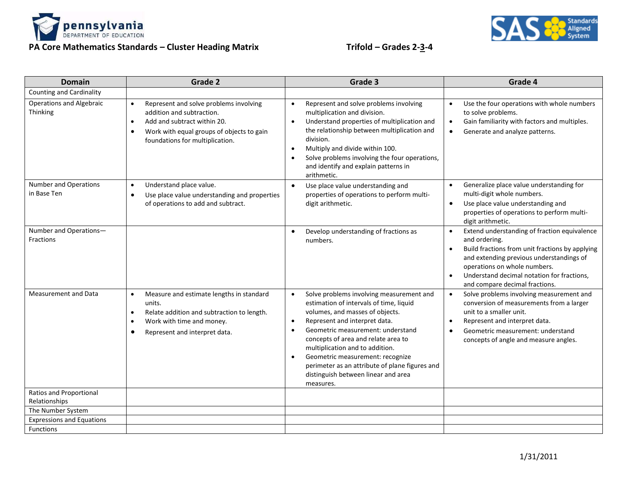

## **PA Core Mathematics Standards – Cluster Heading Matrix Trifold – Grades 2-3-4**



| <b>Domain</b>                                   | Grade 2                                                                                                                                                                                                                   | Grade 3                                                                                                                                                                                                                                                                                                                                                                                                                                                              | Grade 4                                                                                                                                                                                                                                                                                                |
|-------------------------------------------------|---------------------------------------------------------------------------------------------------------------------------------------------------------------------------------------------------------------------------|----------------------------------------------------------------------------------------------------------------------------------------------------------------------------------------------------------------------------------------------------------------------------------------------------------------------------------------------------------------------------------------------------------------------------------------------------------------------|--------------------------------------------------------------------------------------------------------------------------------------------------------------------------------------------------------------------------------------------------------------------------------------------------------|
| <b>Counting and Cardinality</b>                 |                                                                                                                                                                                                                           |                                                                                                                                                                                                                                                                                                                                                                                                                                                                      |                                                                                                                                                                                                                                                                                                        |
| <b>Operations and Algebraic</b><br>Thinking     | Represent and solve problems involving<br>$\bullet$<br>addition and subtraction.<br>Add and subtract within 20.<br>$\bullet$<br>Work with equal groups of objects to gain<br>$\bullet$<br>foundations for multiplication. | Represent and solve problems involving<br>$\bullet$<br>multiplication and division.<br>Understand properties of multiplication and<br>$\bullet$<br>the relationship between multiplication and<br>division.<br>Multiply and divide within 100.<br>$\bullet$<br>Solve problems involving the four operations,<br>$\bullet$<br>and identify and explain patterns in<br>arithmetic.                                                                                     | Use the four operations with whole numbers<br>$\bullet$<br>to solve problems.<br>Gain familiarity with factors and multiples.<br>$\bullet$<br>Generate and analyze patterns.<br>$\bullet$                                                                                                              |
| Number and Operations<br>in Base Ten            | Understand place value.<br>$\bullet$<br>Use place value understanding and properties<br>$\bullet$<br>of operations to add and subtract.                                                                                   | Use place value understanding and<br>$\bullet$<br>properties of operations to perform multi-<br>digit arithmetic.                                                                                                                                                                                                                                                                                                                                                    | Generalize place value understanding for<br>$\bullet$<br>multi-digit whole numbers.<br>Use place value understanding and<br>$\bullet$<br>properties of operations to perform multi-<br>digit arithmetic.                                                                                               |
| Number and Operations-<br><b>Fractions</b>      |                                                                                                                                                                                                                           | Develop understanding of fractions as<br>$\bullet$<br>numbers.                                                                                                                                                                                                                                                                                                                                                                                                       | Extend understanding of fraction equivalence<br>$\bullet$<br>and ordering.<br>Build fractions from unit fractions by applying<br>and extending previous understandings of<br>operations on whole numbers.<br>Understand decimal notation for fractions,<br>$\bullet$<br>and compare decimal fractions. |
| <b>Measurement and Data</b>                     | Measure and estimate lengths in standard<br>$\bullet$<br>units.<br>Relate addition and subtraction to length.<br>$\bullet$<br>Work with time and money.<br>Represent and interpret data.                                  | Solve problems involving measurement and<br>$\bullet$<br>estimation of intervals of time, liquid<br>volumes, and masses of objects.<br>Represent and interpret data.<br>$\bullet$<br>Geometric measurement: understand<br>$\bullet$<br>concepts of area and relate area to<br>multiplication and to addition.<br>Geometric measurement: recognize<br>$\bullet$<br>perimeter as an attribute of plane figures and<br>distinguish between linear and area<br>measures. | Solve problems involving measurement and<br>$\bullet$<br>conversion of measurements from a larger<br>unit to a smaller unit.<br>Represent and interpret data.<br>$\bullet$<br>Geometric measurement: understand<br>$\bullet$<br>concepts of angle and measure angles.                                  |
| <b>Ratios and Proportional</b><br>Relationships |                                                                                                                                                                                                                           |                                                                                                                                                                                                                                                                                                                                                                                                                                                                      |                                                                                                                                                                                                                                                                                                        |
| The Number System                               |                                                                                                                                                                                                                           |                                                                                                                                                                                                                                                                                                                                                                                                                                                                      |                                                                                                                                                                                                                                                                                                        |
| <b>Expressions and Equations</b>                |                                                                                                                                                                                                                           |                                                                                                                                                                                                                                                                                                                                                                                                                                                                      |                                                                                                                                                                                                                                                                                                        |
| <b>Functions</b>                                |                                                                                                                                                                                                                           |                                                                                                                                                                                                                                                                                                                                                                                                                                                                      |                                                                                                                                                                                                                                                                                                        |